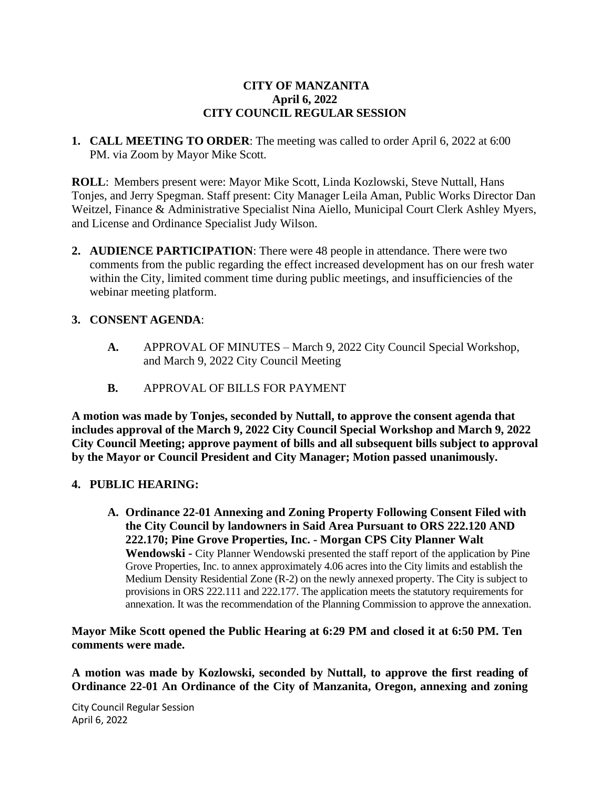## **CITY OF MANZANITA April 6, 2022 CITY COUNCIL REGULAR SESSION**

**1. CALL MEETING TO ORDER**: The meeting was called to order April 6, 2022 at 6:00 PM. via Zoom by Mayor Mike Scott.

**ROLL**: Members present were: Mayor Mike Scott, Linda Kozlowski, Steve Nuttall, Hans Tonjes, and Jerry Spegman. Staff present: City Manager Leila Aman, Public Works Director Dan Weitzel, Finance & Administrative Specialist Nina Aiello, Municipal Court Clerk Ashley Myers, and License and Ordinance Specialist Judy Wilson.

**2. AUDIENCE PARTICIPATION**: There were 48 people in attendance. There were two comments from the public regarding the effect increased development has on our fresh water within the City, limited comment time during public meetings, and insufficiencies of the webinar meeting platform.

### **3. CONSENT AGENDA**:

- **A.** APPROVAL OF MINUTES March 9, 2022 City Council Special Workshop, and March 9, 2022 City Council Meeting
- **B.** APPROVAL OF BILLS FOR PAYMENT

**A motion was made by Tonjes, seconded by Nuttall, to approve the consent agenda that includes approval of the March 9, 2022 City Council Special Workshop and March 9, 2022 City Council Meeting; approve payment of bills and all subsequent bills subject to approval by the Mayor or Council President and City Manager; Motion passed unanimously.**

#### **4. PUBLIC HEARING:**

**A. Ordinance 22-01 Annexing and Zoning Property Following Consent Filed with the City Council by landowners in Said Area Pursuant to ORS 222.120 AND 222.170; Pine Grove Properties, Inc. - Morgan CPS City Planner Walt Wendowski -** City Planner Wendowski presented the staff report of the application by Pine Grove Properties, Inc. to annex approximately 4.06 acres into the City limits and establish the Medium Density Residential Zone (R-2) on the newly annexed property. The City is subject to provisions in ORS 222.111 and 222.177. The application meets the statutory requirements for annexation. It was the recommendation of the Planning Commission to approve the annexation.

**Mayor Mike Scott opened the Public Hearing at 6:29 PM and closed it at 6:50 PM. Ten comments were made.**

**A motion was made by Kozlowski, seconded by Nuttall, to approve the first reading of Ordinance 22-01 An Ordinance of the City of Manzanita, Oregon, annexing and zoning**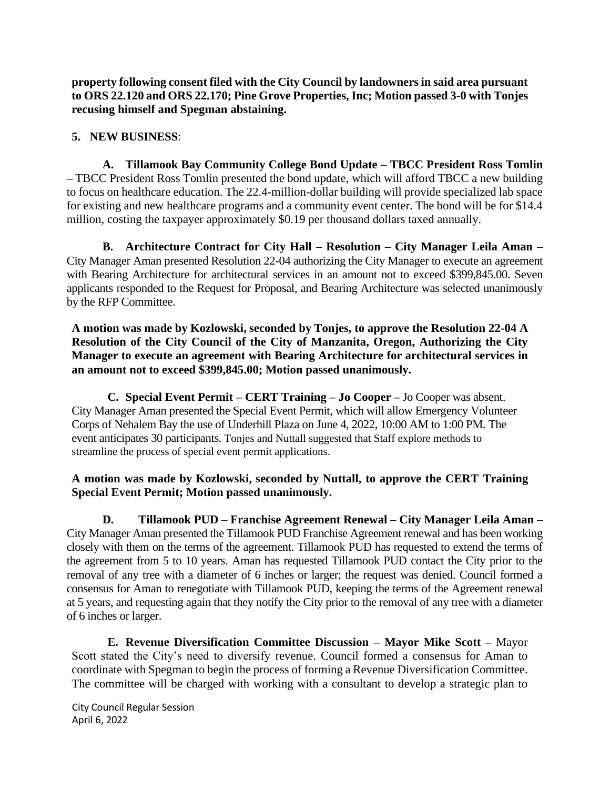**property following consent filed with the City Council by landowners in said area pursuant to ORS 22.120 and ORS 22.170; Pine Grove Properties, Inc; Motion passed 3-0 with Tonjes recusing himself and Spegman abstaining.**

### **5. NEW BUSINESS**:

**A. Tillamook Bay Community College Bond Update – TBCC President Ross Tomlin –** TBCC President Ross Tomlin presented the bond update, which will afford TBCC a new building to focus on healthcare education. The 22.4-million-dollar building will provide specialized lab space for existing and new healthcare programs and a community event center. The bond will be for \$14.4 million, costing the taxpayer approximately \$0.19 per thousand dollars taxed annually.

**B. Architecture Contract for City Hall – Resolution – City Manager Leila Aman –** City Manager Aman presented Resolution 22-04 authorizing the City Manager to execute an agreement with Bearing Architecture for architectural services in an amount not to exceed \$399,845.00. Seven applicants responded to the Request for Proposal, and Bearing Architecture was selected unanimously by the RFP Committee.

**A motion was made by Kozlowski, seconded by Tonjes, to approve the Resolution 22-04 A Resolution of the City Council of the City of Manzanita, Oregon, Authorizing the City Manager to execute an agreement with Bearing Architecture for architectural services in an amount not to exceed \$399,845.00; Motion passed unanimously.**

**C. Special Event Permit – CERT Training – Jo Cooper –** Jo Cooper was absent. City Manager Aman presented the Special Event Permit, which will allow Emergency Volunteer Corps of Nehalem Bay the use of Underhill Plaza on June 4, 2022, 10:00 AM to 1:00 PM. The event anticipates 30 participants. Tonjes and Nuttall suggested that Staff explore methods to streamline the process of special event permit applications.

### **A motion was made by Kozlowski, seconded by Nuttall, to approve the CERT Training Special Event Permit; Motion passed unanimously.**

**D. Tillamook PUD – Franchise Agreement Renewal – City Manager Leila Aman –** City Manager Aman presented the Tillamook PUD Franchise Agreement renewal and has been working closely with them on the terms of the agreement. Tillamook PUD has requested to extend the terms of the agreement from 5 to 10 years. Aman has requested Tillamook PUD contact the City prior to the removal of any tree with a diameter of 6 inches or larger; the request was denied. Council formed a consensus for Aman to renegotiate with Tillamook PUD, keeping the terms of the Agreement renewal at 5 years, and requesting again that they notify the City prior to the removal of any tree with a diameter of 6 inches or larger.

**E. Revenue Diversification Committee Discussion – Mayor Mike Scott –** Mayor Scott stated the City's need to diversify revenue. Council formed a consensus for Aman to coordinate with Spegman to begin the process of forming a Revenue Diversification Committee. The committee will be charged with working with a consultant to develop a strategic plan to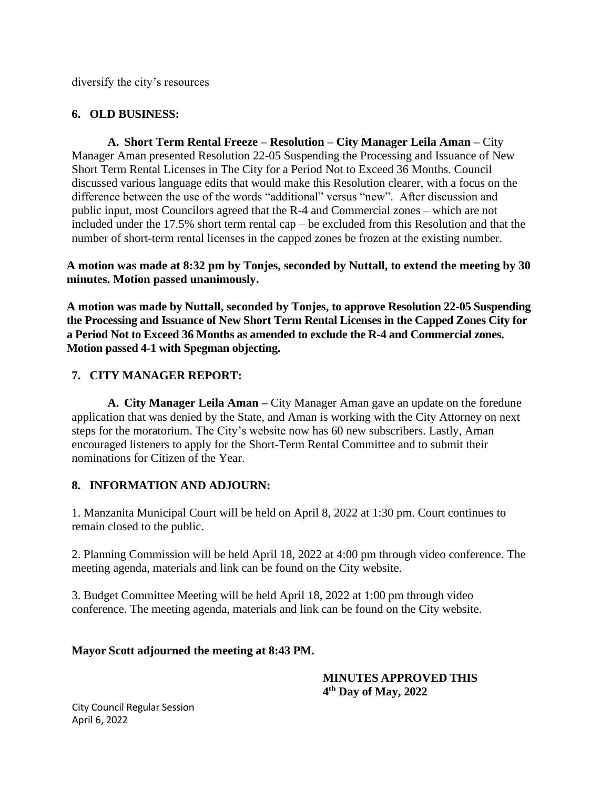diversify the city's resources

# **6. OLD BUSINESS:**

**A. Short Term Rental Freeze – Resolution – City Manager Leila Aman –** City Manager Aman presented Resolution 22-05 Suspending the Processing and Issuance of New Short Term Rental Licenses in The City for a Period Not to Exceed 36 Months. Council discussed various language edits that would make this Resolution clearer, with a focus on the difference between the use of the words "additional" versus "new". After discussion and public input, most Councilors agreed that the R-4 and Commercial zones – which are not included under the 17.5% short term rental cap – be excluded from this Resolution and that the number of short-term rental licenses in the capped zones be frozen at the existing number.

**A motion was made at 8:32 pm by Tonjes, seconded by Nuttall, to extend the meeting by 30 minutes. Motion passed unanimously.** 

**A motion was made by Nuttall, seconded by Tonjes, to approve Resolution 22-05 Suspending the Processing and Issuance of New Short Term Rental Licenses in the Capped Zones City for a Period Not to Exceed 36 Months as amended to exclude the R-4 and Commercial zones. Motion passed 4-1 with Spegman objecting.**

## **7. CITY MANAGER REPORT:**

**A. City Manager Leila Aman –** City Manager Aman gave an update on the foredune application that was denied by the State, and Aman is working with the City Attorney on next steps for the moratorium. The City's website now has 60 new subscribers. Lastly, Aman encouraged listeners to apply for the Short-Term Rental Committee and to submit their nominations for Citizen of the Year.

## **8. INFORMATION AND ADJOURN:**

1. Manzanita Municipal Court will be held on April 8, 2022 at 1:30 pm. Court continues to remain closed to the public.

2. Planning Commission will be held April 18, 2022 at 4:00 pm through video conference. The meeting agenda, materials and link can be found on the City website.

3. Budget Committee Meeting will be held April 18, 2022 at 1:00 pm through video conference. The meeting agenda, materials and link can be found on the City website.

## **Mayor Scott adjourned the meeting at 8:43 PM.**

## **MINUTES APPROVED THIS 4 th Day of May, 2022**